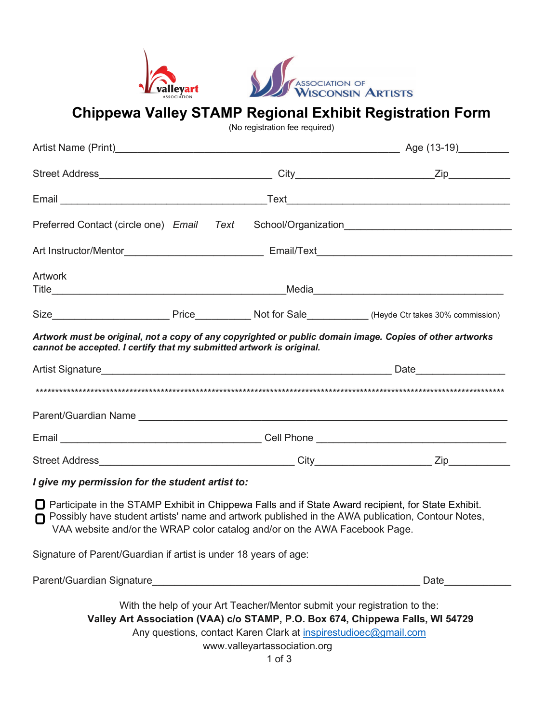



**Chippewa Valley STAMP Regional Exhibit Registration Form**

(No registration fee required)

| Preferred Contact (circle one) Email Text School/Organization____________________                                                                                                                                                                                                            |                                                                                                                                                                                            |                                                                                                                                                                                                                                |
|----------------------------------------------------------------------------------------------------------------------------------------------------------------------------------------------------------------------------------------------------------------------------------------------|--------------------------------------------------------------------------------------------------------------------------------------------------------------------------------------------|--------------------------------------------------------------------------------------------------------------------------------------------------------------------------------------------------------------------------------|
|                                                                                                                                                                                                                                                                                              |                                                                                                                                                                                            |                                                                                                                                                                                                                                |
| Artwork                                                                                                                                                                                                                                                                                      |                                                                                                                                                                                            |                                                                                                                                                                                                                                |
|                                                                                                                                                                                                                                                                                              |                                                                                                                                                                                            |                                                                                                                                                                                                                                |
|                                                                                                                                                                                                                                                                                              |                                                                                                                                                                                            |                                                                                                                                                                                                                                |
| Artwork must be original, not a copy of any copyrighted or public domain image. Copies of other artworks<br>cannot be accepted. I certify that my submitted artwork is original.                                                                                                             |                                                                                                                                                                                            |                                                                                                                                                                                                                                |
|                                                                                                                                                                                                                                                                                              |                                                                                                                                                                                            | Date and the state of the state of the state of the state of the state of the state of the state of the state of the state of the state of the state of the state of the state of the state of the state of the state of the s |
|                                                                                                                                                                                                                                                                                              |                                                                                                                                                                                            |                                                                                                                                                                                                                                |
|                                                                                                                                                                                                                                                                                              |                                                                                                                                                                                            |                                                                                                                                                                                                                                |
|                                                                                                                                                                                                                                                                                              |                                                                                                                                                                                            |                                                                                                                                                                                                                                |
|                                                                                                                                                                                                                                                                                              |                                                                                                                                                                                            |                                                                                                                                                                                                                                |
| I give my permission for the student artist to:                                                                                                                                                                                                                                              |                                                                                                                                                                                            |                                                                                                                                                                                                                                |
| □ Participate in the STAMP Exhibit in Chippewa Falls and if State Award recipient, for State Exhibit.<br>Possibly have student artists' name and artwork published in the AWA publication, Contour Notes,<br>n<br>VAA website and/or the WRAP color catalog and/or on the AWA Facebook Page. |                                                                                                                                                                                            |                                                                                                                                                                                                                                |
| Signature of Parent/Guardian if artist is under 18 years of age:                                                                                                                                                                                                                             |                                                                                                                                                                                            |                                                                                                                                                                                                                                |
|                                                                                                                                                                                                                                                                                              |                                                                                                                                                                                            | Date                                                                                                                                                                                                                           |
| Valley Art Association (VAA) c/o STAMP, P.O. Box 674, Chippewa Falls, WI 54729                                                                                                                                                                                                               | With the help of your Art Teacher/Mentor submit your registration to the:<br>Any questions, contact Karen Clark at inspirestudioec@gmail.com<br>www.valleyartassociation.org<br>$1$ of $3$ |                                                                                                                                                                                                                                |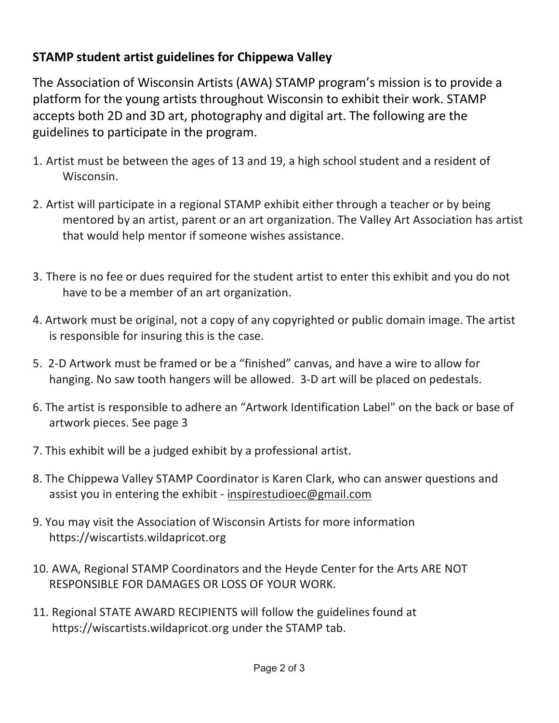## **STAMP student artist guidelines for Chippewa Valley**

The Association of Wisconsin Artists (AWA) STAMP program's mission is to provide a platform for the young artists throughout Wisconsin to exhibit their work. STAMP accepts both 2D and 3D art, photography and digital art. The following are the guidelines to participate in the program.

- 1. Artist must be between the ages of 13 and 19, a high school student and a resident of Wisconsin.
- 2. Artist will participate in a regional STAMP exhibit either through a teacher or by being mentored by an artist, parent or an art organization. The Valley Art Association has artist that would help mentor if someone wishes assistance.
- 3. There is no fee or dues required for the student artist to enter this exhibit and you do not have to be a member of an art organization.
- 4. Artwork must be original, not a copy of any copyrighted or public domain image. The artist is responsible for insuring this is the case.
- 5. 2-D Artwork must be framed or be a "finished" canvas, and have a wire to allow for hanging. No saw tooth hangers will be allowed. 3-D art will be placed on pedestals.
- 6. The artist is responsible to adhere an "Artwork Identification Label" on the back or base of artwork pieces. See page 3
- 7. This exhibit will be a judged exhibit by a professional artist.
- 8. The Chippewa Valley STAMP Coordinator is Karen Clark, who can answer questions and assist you in entering the exhibit - inspirestudioec@gmail.com
- 9. You may visit the Association of Wisconsin Artists for more information https://wiscartists.wildapricot.org
- 10. AWA, Regional STAMP Coordinators and the Heyde Center for the Arts ARE NOT RESPONSIBLE FOR DAMAGES OR LOSS OF YOUR WORK.
- 11. Regional STATE AWARD RECIPIENTS will follow the guidelines found at https://wiscartists.wildapricot.org under the STAMP tab.